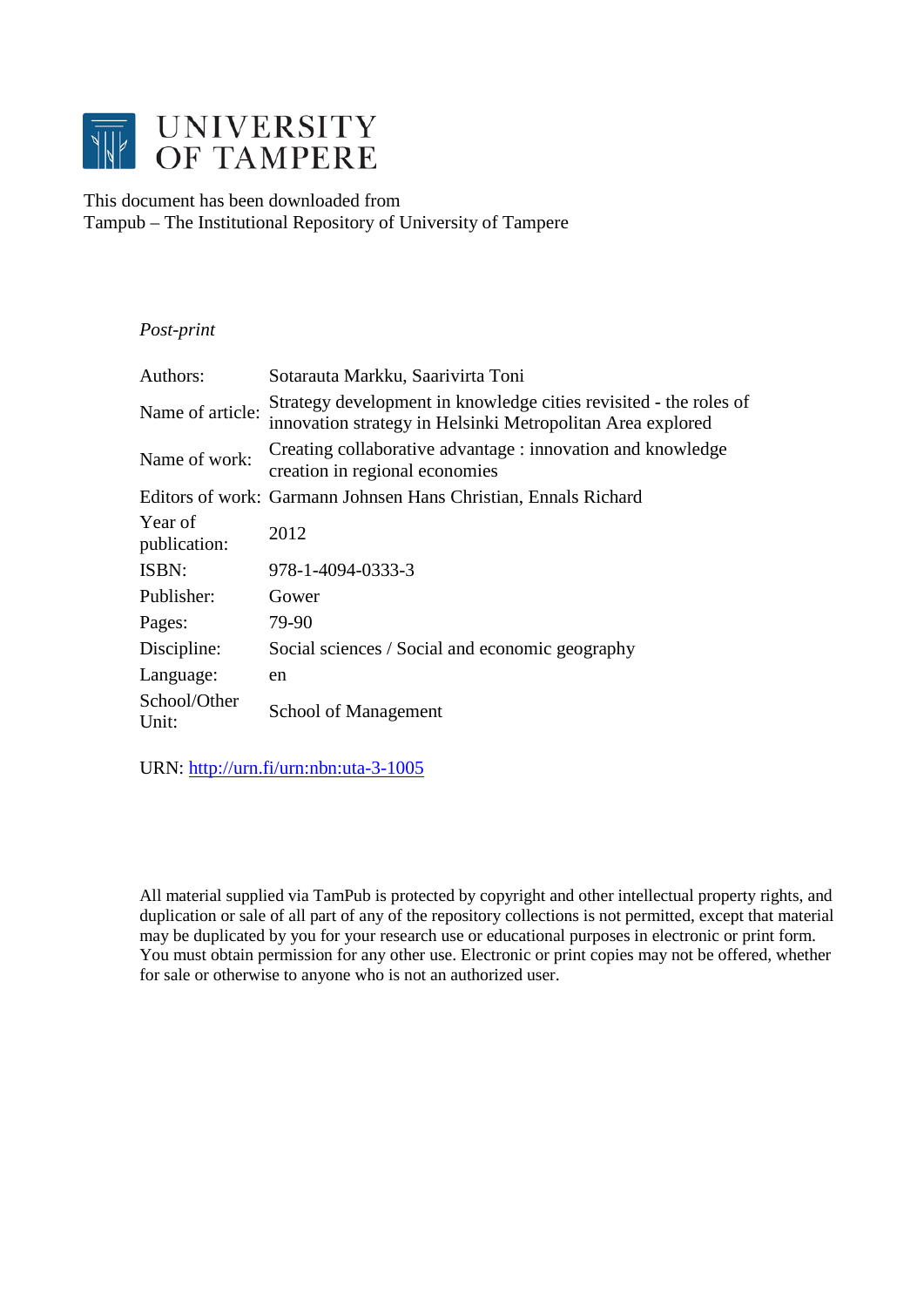

This document has been downloaded from Tampub – The Institutional Repository of University of Tampere

# *Post-print*

| Authors:                | Sotarauta Markku, Saarivirta Toni                                                                                               |
|-------------------------|---------------------------------------------------------------------------------------------------------------------------------|
| Name of article:        | Strategy development in knowledge cities revisited - the roles of<br>innovation strategy in Helsinki Metropolitan Area explored |
| Name of work:           | Creating collaborative advantage: innovation and knowledge<br>creation in regional economies                                    |
|                         | Editors of work: Garmann Johnsen Hans Christian, Ennals Richard                                                                 |
| Year of<br>publication: | 2012                                                                                                                            |
| ISBN:                   | 978-1-4094-0333-3                                                                                                               |
| Publisher:              | Gower                                                                                                                           |
| Pages:                  | 79-90                                                                                                                           |
| Discipline:             | Social sciences / Social and economic geography                                                                                 |
| Language:               | en                                                                                                                              |
| School/Other<br>Unit:   | School of Management                                                                                                            |

URN: http://urn.fi/urn:nbn:uta-3-1005

All material supplied via TamPub is protected by copyright and other intellectual property rights, and duplication or sale of all part of any of the repository collections is not permitted, except that material may be duplicated by you for your research use or educational purposes in electronic or print form. You must obtain permission for any other use. Electronic or print copies may not be offered, whether for sale or otherwise to anyone who is not an authorized user.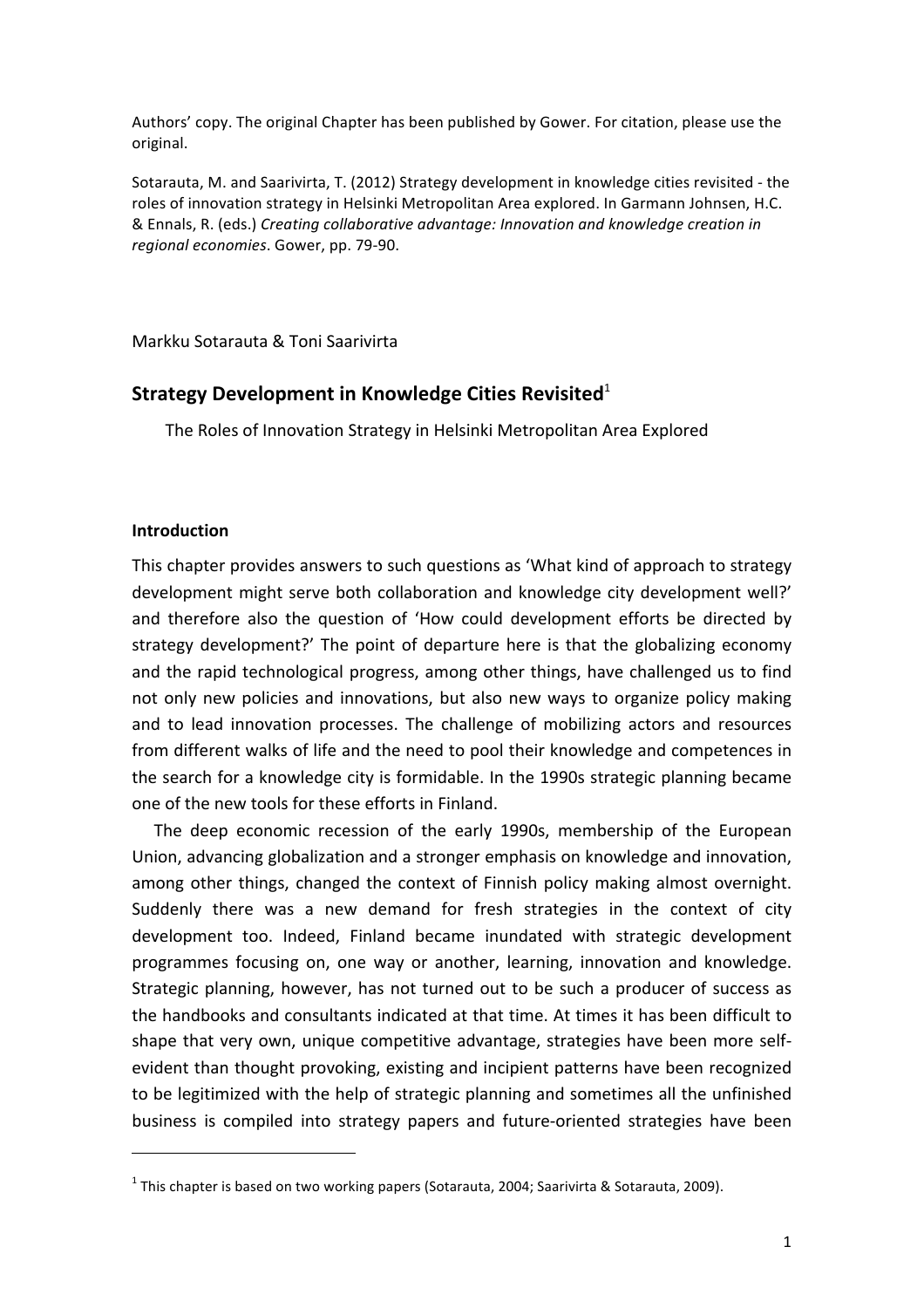Authors' copy. The original Chapter has been published by Gower. For citation, please use the original.

Sotarauta, M. and Saarivirta, T. (2012) Strategy development in knowledge cities revisited - the roles of innovation strategy in Helsinki Metropolitan Area explored. In Garmann Johnsen, H.C. & Ennals, R. (eds.) *Creating collaborative advantage: Innovation and knowledge creation in regional economies*. Gower, pp. 79-90.

Markku Sotarauta & Toni Saarivirta

## **Strategy Development in Knowledge Cities Revisited**<sup>1</sup>

The Roles of Innovation Strategy in Helsinki Metropolitan Area Explored

#### **Introduction**

 $\overline{a}$ 

This chapter provides answers to such questions as 'What kind of approach to strategy development might serve both collaboration and knowledge city development well?' and therefore also the question of 'How could development efforts be directed by strategy development?' The point of departure here is that the globalizing economy and the rapid technological progress, among other things, have challenged us to find not only new policies and innovations, but also new ways to organize policy making and to lead innovation processes. The challenge of mobilizing actors and resources from different walks of life and the need to pool their knowledge and competences in the search for a knowledge city is formidable. In the 1990s strategic planning became one of the new tools for these efforts in Finland.

The deep economic recession of the early 1990s, membership of the European Union, advancing globalization and a stronger emphasis on knowledge and innovation, among other things, changed the context of Finnish policy making almost overnight. Suddenly there was a new demand for fresh strategies in the context of city development too. Indeed, Finland became inundated with strategic development programmes focusing on, one way or another, learning, innovation and knowledge. Strategic planning, however, has not turned out to be such a producer of success as the handbooks and consultants indicated at that time. At times it has been difficult to shape that very own, unique competitive advantage, strategies have been more selfevident than thought provoking, existing and incipient patterns have been recognized to be legitimized with the help of strategic planning and sometimes all the unfinished business is compiled into strategy papers and future-oriented strategies have been

<sup>&</sup>lt;sup>1</sup> This chapter is based on two working papers (Sotarauta, 2004; Saarivirta & Sotarauta, 2009).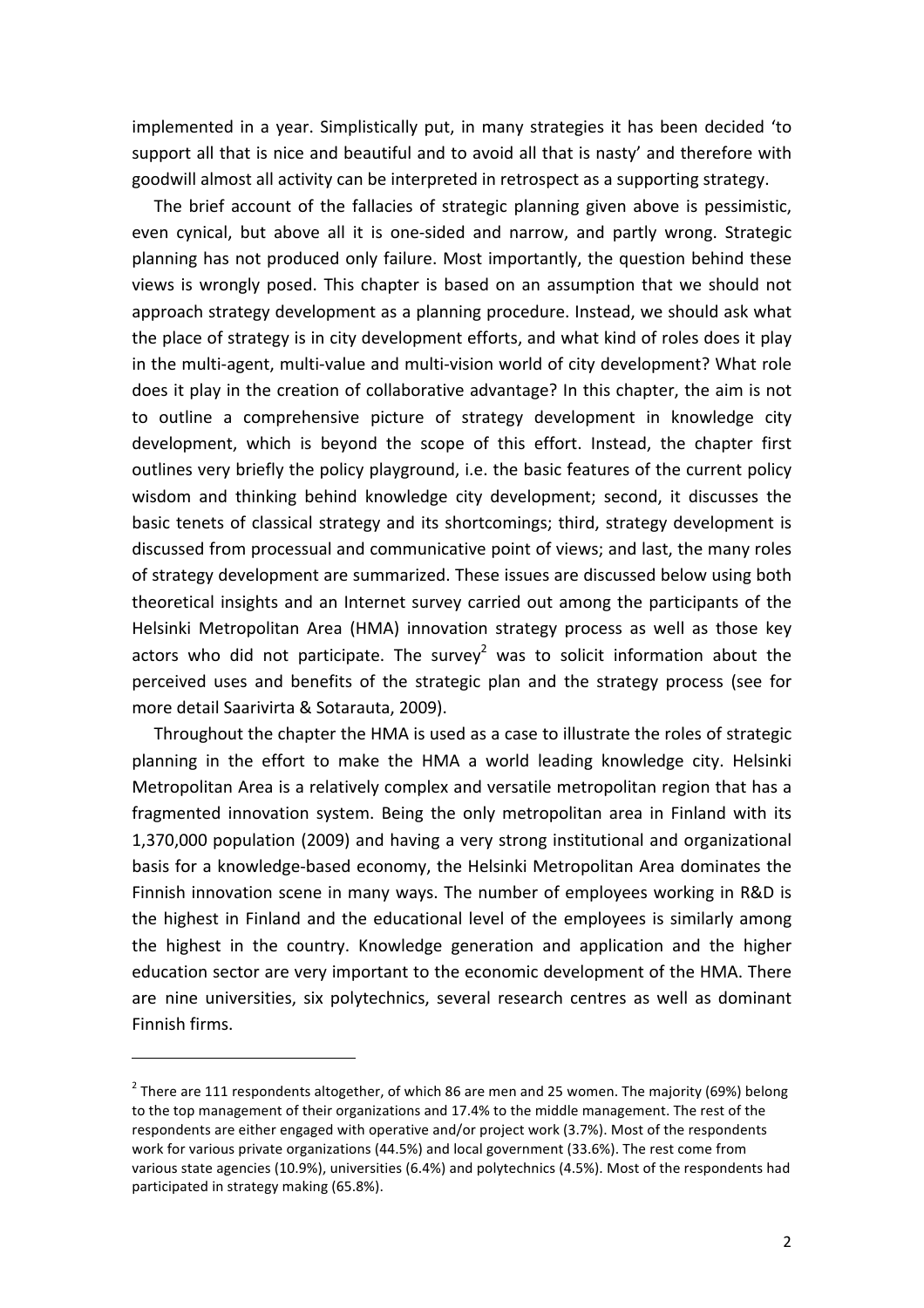implemented in a year. Simplistically put, in many strategies it has been decided 'to support all that is nice and beautiful and to avoid all that is nasty' and therefore with goodwill almost all activity can be interpreted in retrospect as a supporting strategy.

The brief account of the fallacies of strategic planning given above is pessimistic, even cynical, but above all it is one-sided and narrow, and partly wrong. Strategic planning has not produced only failure. Most importantly, the question behind these views is wrongly posed. This chapter is based on an assumption that we should not approach strategy development as a planning procedure. Instead, we should ask what the place of strategy is in city development efforts, and what kind of roles does it play in the multi-agent, multi-value and multi-vision world of city development? What role does it play in the creation of collaborative advantage? In this chapter, the aim is not to outline a comprehensive picture of strategy development in knowledge city development, which is beyond the scope of this effort. Instead, the chapter first outlines very briefly the policy playground, i.e. the basic features of the current policy wisdom and thinking behind knowledge city development; second, it discusses the basic tenets of classical strategy and its shortcomings; third, strategy development is discussed from processual and communicative point of views; and last, the many roles of strategy development are summarized. These issues are discussed below using both theoretical insights and an Internet survey carried out among the participants of the Helsinki Metropolitan Area (HMA) innovation strategy process as well as those key actors who did not participate. The survey<sup>2</sup> was to solicit information about the perceived uses and benefits of the strategic plan and the strategy process (see for more detail Saarivirta & Sotarauta, 2009).

Throughout the chapter the HMA is used as a case to illustrate the roles of strategic planning in the effort to make the HMA a world leading knowledge city. Helsinki Metropolitan Area is a relatively complex and versatile metropolitan region that has a fragmented innovation system. Being the only metropolitan area in Finland with its 1,370,000 population (2009) and having a very strong institutional and organizational basis for a knowledge-based economy, the Helsinki Metropolitan Area dominates the Finnish innovation scene in many ways. The number of employees working in R&D is the highest in Finland and the educational level of the employees is similarly among the highest in the country. Knowledge generation and application and the higher education sector are very important to the economic development of the HMA. There are nine universities, six polytechnics, several research centres as well as dominant Finnish firms.

 $\overline{a}$ 

<sup>&</sup>lt;sup>2</sup> There are 111 respondents altogether, of which 86 are men and 25 women. The majority (69%) belong to the top management of their organizations and 17.4% to the middle management. The rest of the respondents are either engaged with operative and/or project work (3.7%). Most of the respondents work for various private organizations (44.5%) and local government (33.6%). The rest come from various state agencies (10.9%), universities (6.4%) and polytechnics (4.5%). Most of the respondents had participated in strategy making (65.8%).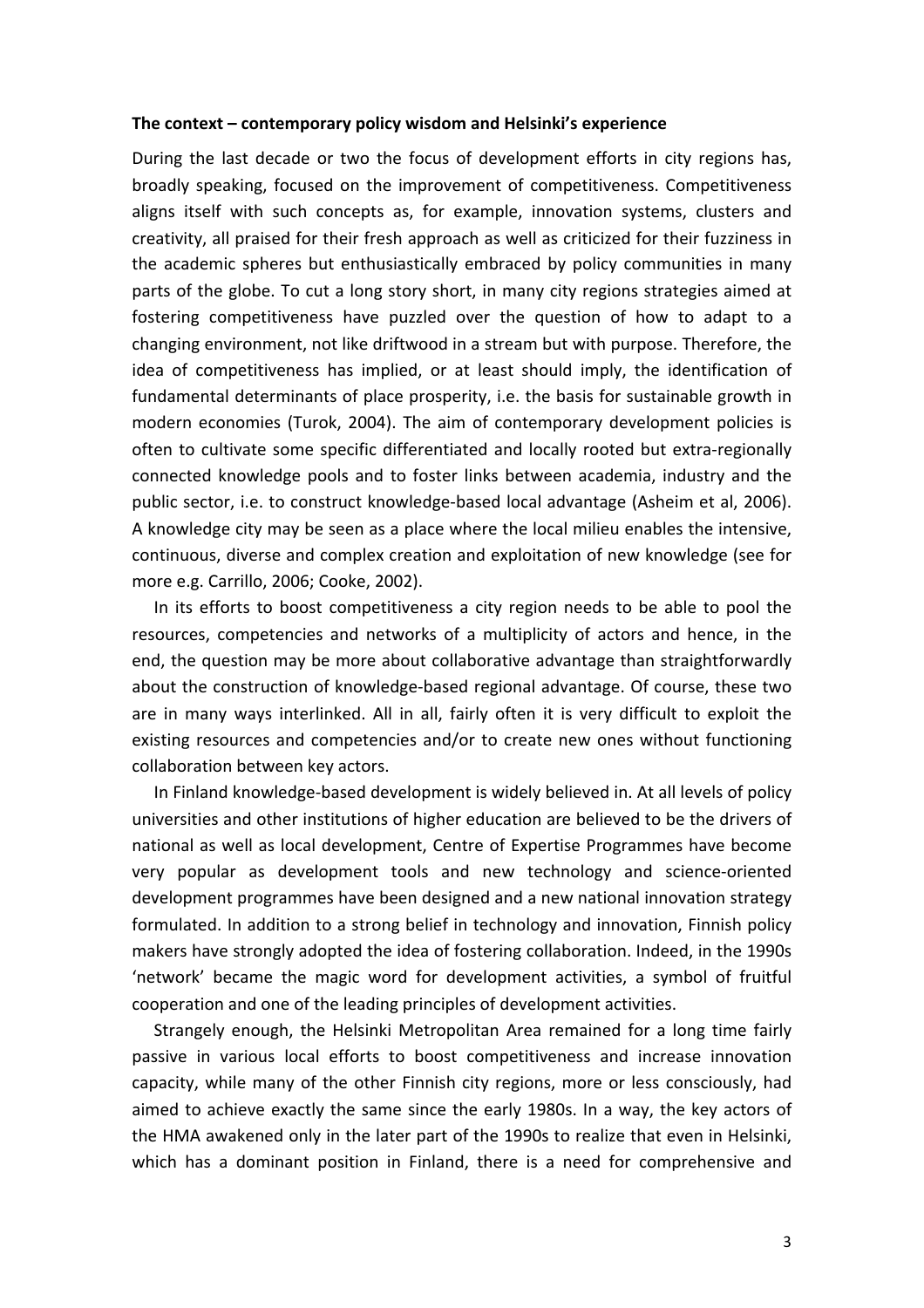#### The context – contemporary policy wisdom and Helsinki's experience

During the last decade or two the focus of development efforts in city regions has, broadly speaking, focused on the improvement of competitiveness. Competitiveness aligns itself with such concepts as, for example, innovation systems, clusters and creativity, all praised for their fresh approach as well as criticized for their fuzziness in the academic spheres but enthusiastically embraced by policy communities in many parts of the globe. To cut a long story short, in many city regions strategies aimed at fostering competitiveness have puzzled over the question of how to adapt to a changing environment, not like driftwood in a stream but with purpose. Therefore, the idea of competitiveness has implied, or at least should imply, the identification of fundamental determinants of place prosperity, i.e. the basis for sustainable growth in modern economies (Turok, 2004). The aim of contemporary development policies is often to cultivate some specific differentiated and locally rooted but extra-regionally connected knowledge pools and to foster links between academia, industry and the public sector, i.e. to construct knowledge-based local advantage (Asheim et al, 2006). A knowledge city may be seen as a place where the local milieu enables the intensive, continuous, diverse and complex creation and exploitation of new knowledge (see for more e.g. Carrillo, 2006; Cooke, 2002).

In its efforts to boost competitiveness a city region needs to be able to pool the resources, competencies and networks of a multiplicity of actors and hence, in the end, the question may be more about collaborative advantage than straightforwardly about the construction of knowledge-based regional advantage. Of course, these two are in many ways interlinked. All in all, fairly often it is very difficult to exploit the existing resources and competencies and/or to create new ones without functioning collaboration between key actors.

In Finland knowledge-based development is widely believed in. At all levels of policy universities and other institutions of higher education are believed to be the drivers of national as well as local development, Centre of Expertise Programmes have become very popular as development tools and new technology and science-oriented development programmes have been designed and a new national innovation strategy formulated. In addition to a strong belief in technology and innovation, Finnish policy makers have strongly adopted the idea of fostering collaboration. Indeed, in the 1990s 'network' became the magic word for development activities, a symbol of fruitful cooperation and one of the leading principles of development activities.

Strangely enough, the Helsinki Metropolitan Area remained for a long time fairly passive in various local efforts to boost competitiveness and increase innovation capacity, while many of the other Finnish city regions, more or less consciously, had aimed to achieve exactly the same since the early 1980s. In a way, the key actors of the HMA awakened only in the later part of the 1990s to realize that even in Helsinki, which has a dominant position in Finland, there is a need for comprehensive and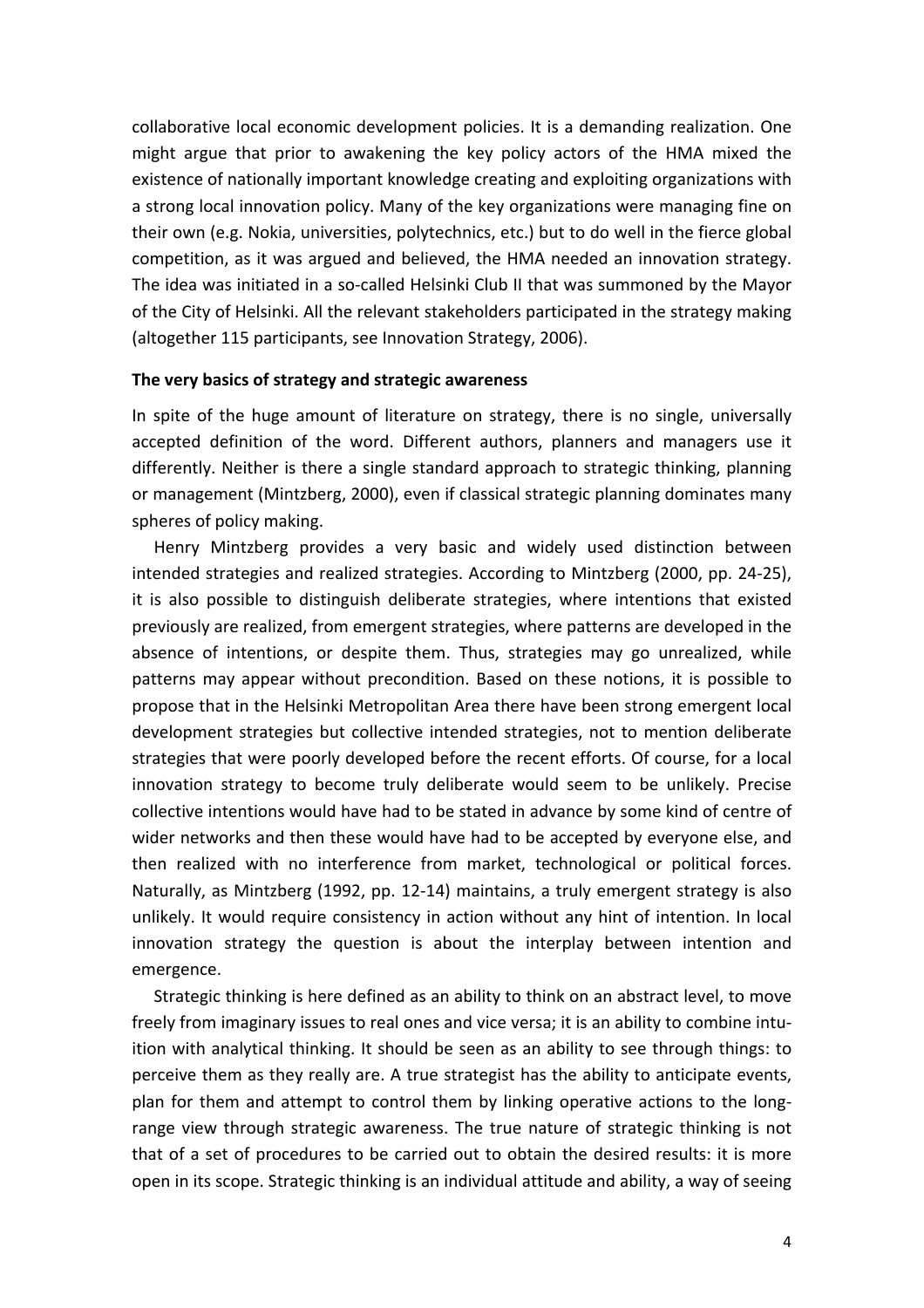collaborative local economic development policies. It is a demanding realization. One might argue that prior to awakening the key policy actors of the HMA mixed the existence of nationally important knowledge creating and exploiting organizations with a strong local innovation policy. Many of the key organizations were managing fine on their own (e.g. Nokia, universities, polytechnics, etc.) but to do well in the fierce global competition, as it was argued and believed, the HMA needed an innovation strategy. The idea was initiated in a so-called Helsinki Club II that was summoned by the Mayor of the City of Helsinki. All the relevant stakeholders participated in the strategy making (altogether 115 participants, see Innovation Strategy, 2006).

### The very basics of strategy and strategic awareness

In spite of the huge amount of literature on strategy, there is no single, universally accepted definition of the word. Different authors, planners and managers use it differently. Neither is there a single standard approach to strategic thinking, planning or management (Mintzberg, 2000), even if classical strategic planning dominates many spheres of policy making.

Henry Mintzberg provides a very basic and widely used distinction between intended strategies and realized strategies. According to Mintzberg (2000, pp. 24-25), it is also possible to distinguish deliberate strategies, where intentions that existed previously are realized, from emergent strategies, where patterns are developed in the absence of intentions, or despite them. Thus, strategies may go unrealized, while patterns may appear without precondition. Based on these notions, it is possible to propose that in the Helsinki Metropolitan Area there have been strong emergent local development strategies but collective intended strategies, not to mention deliberate strategies that were poorly developed before the recent efforts. Of course, for a local innovation strategy to become truly deliberate would seem to be unlikely. Precise collective intentions would have had to be stated in advance by some kind of centre of wider networks and then these would have had to be accepted by everyone else, and then realized with no interference from market, technological or political forces. Naturally, as Mintzberg (1992, pp. 12-14) maintains, a truly emergent strategy is also unlikely. It would require consistency in action without any hint of intention. In local innovation strategy the question is about the interplay between intention and emergence. 

Strategic thinking is here defined as an ability to think on an abstract level, to move freely from imaginary issues to real ones and vice versa; it is an ability to combine intuition with analytical thinking. It should be seen as an ability to see through things: to perceive them as they really are. A true strategist has the ability to anticipate events, plan for them and attempt to control them by linking operative actions to the longrange view through strategic awareness. The true nature of strategic thinking is not that of a set of procedures to be carried out to obtain the desired results: it is more open in its scope. Strategic thinking is an individual attitude and ability, a way of seeing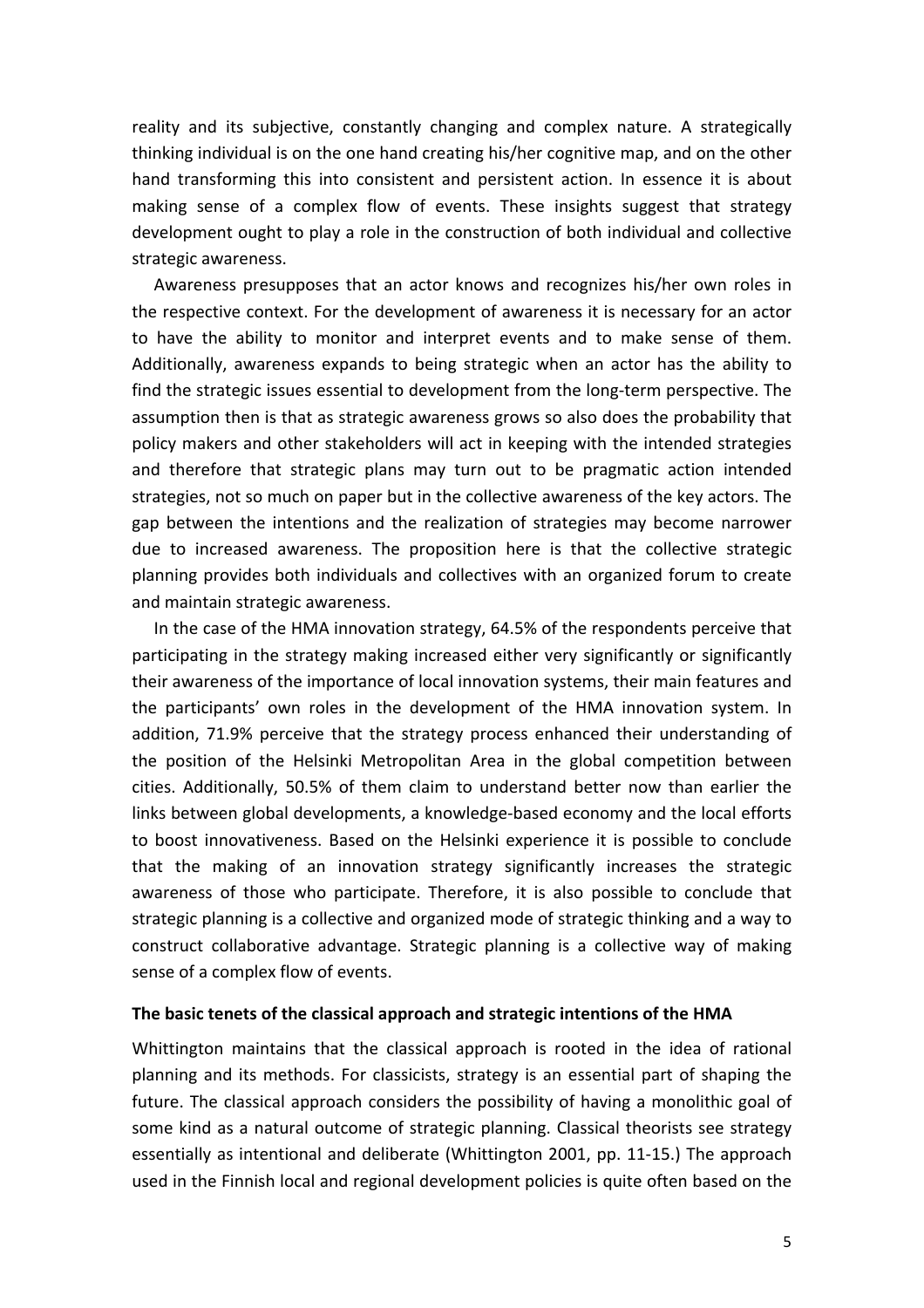reality and its subjective, constantly changing and complex nature. A strategically thinking individual is on the one hand creating his/her cognitive map, and on the other hand transforming this into consistent and persistent action. In essence it is about making sense of a complex flow of events. These insights suggest that strategy development ought to play a role in the construction of both individual and collective strategic awareness.

Awareness presupposes that an actor knows and recognizes his/her own roles in the respective context. For the development of awareness it is necessary for an actor to have the ability to monitor and interpret events and to make sense of them. Additionally, awareness expands to being strategic when an actor has the ability to find the strategic issues essential to development from the long-term perspective. The assumption then is that as strategic awareness grows so also does the probability that policy makers and other stakeholders will act in keeping with the intended strategies and therefore that strategic plans may turn out to be pragmatic action intended strategies, not so much on paper but in the collective awareness of the key actors. The gap between the intentions and the realization of strategies may become narrower due to increased awareness. The proposition here is that the collective strategic planning provides both individuals and collectives with an organized forum to create and maintain strategic awareness.

In the case of the HMA innovation strategy, 64.5% of the respondents perceive that participating in the strategy making increased either very significantly or significantly their awareness of the importance of local innovation systems, their main features and the participants' own roles in the development of the HMA innovation system. In addition, 71.9% perceive that the strategy process enhanced their understanding of the position of the Helsinki Metropolitan Area in the global competition between cities. Additionally, 50.5% of them claim to understand better now than earlier the links between global developments, a knowledge-based economy and the local efforts to boost innovativeness. Based on the Helsinki experience it is possible to conclude that the making of an innovation strategy significantly increases the strategic awareness of those who participate. Therefore, it is also possible to conclude that strategic planning is a collective and organized mode of strategic thinking and a way to construct collaborative advantage. Strategic planning is a collective way of making sense of a complex flow of events.

### The basic tenets of the classical approach and strategic intentions of the HMA

Whittington maintains that the classical approach is rooted in the idea of rational planning and its methods. For classicists, strategy is an essential part of shaping the future. The classical approach considers the possibility of having a monolithic goal of some kind as a natural outcome of strategic planning. Classical theorists see strategy essentially as intentional and deliberate (Whittington 2001, pp. 11-15.) The approach used in the Finnish local and regional development policies is quite often based on the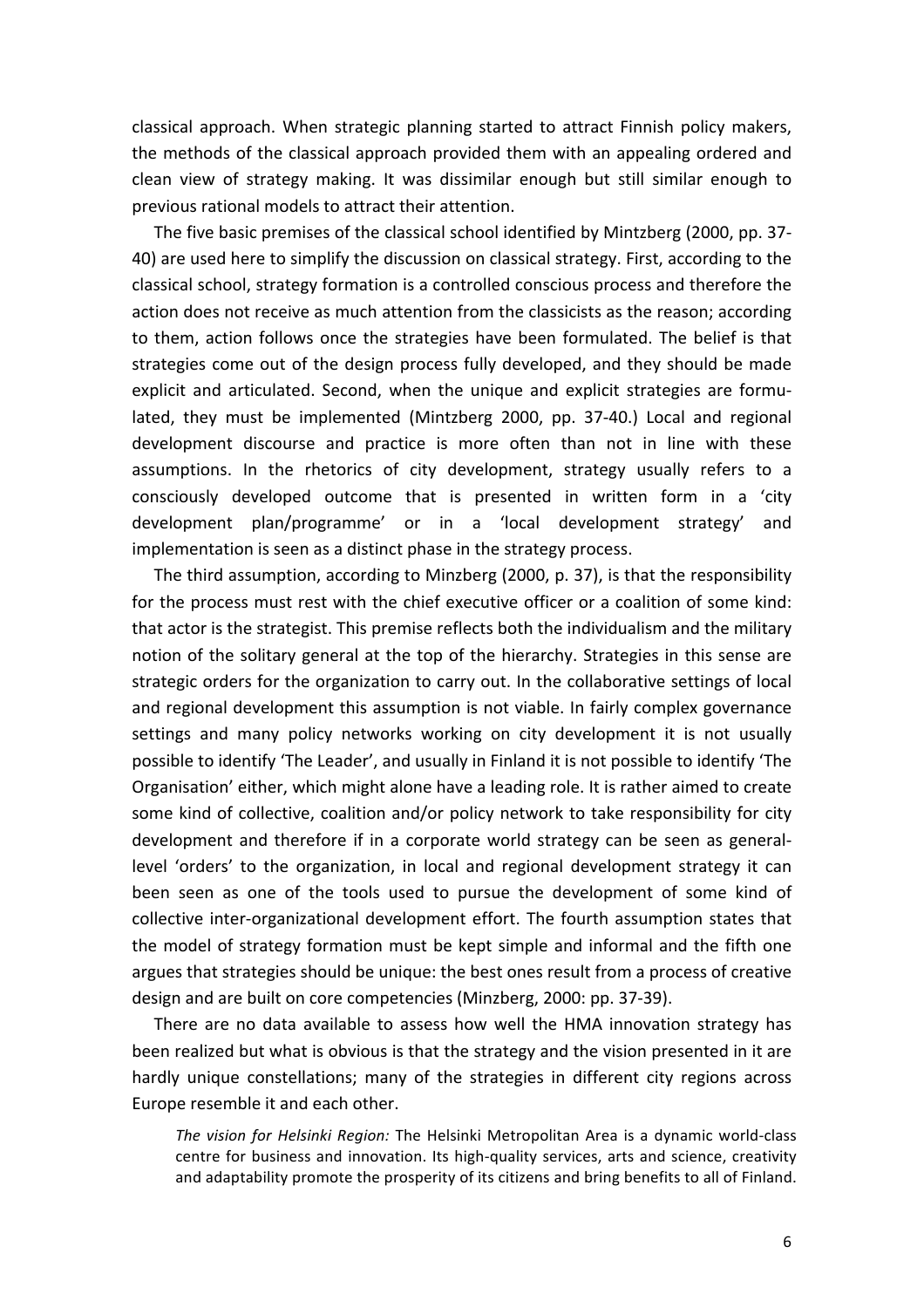classical approach. When strategic planning started to attract Finnish policy makers, the methods of the classical approach provided them with an appealing ordered and clean view of strategy making. It was dissimilar enough but still similar enough to previous rational models to attract their attention.

The five basic premises of the classical school identified by Mintzberg (2000, pp. 37-40) are used here to simplify the discussion on classical strategy. First, according to the classical school, strategy formation is a controlled conscious process and therefore the action does not receive as much attention from the classicists as the reason; according to them, action follows once the strategies have been formulated. The belief is that strategies come out of the design process fully developed, and they should be made explicit and articulated. Second, when the unique and explicit strategies are formulated, they must be implemented (Mintzberg 2000, pp. 37-40.) Local and regional development discourse and practice is more often than not in line with these assumptions. In the rhetorics of city development, strategy usually refers to a consciously developed outcome that is presented in written form in a 'city development plan/programme' or in a 'local development strategy' and implementation is seen as a distinct phase in the strategy process.

The third assumption, according to Minzberg (2000, p. 37), is that the responsibility for the process must rest with the chief executive officer or a coalition of some kind: that actor is the strategist. This premise reflects both the individualism and the military notion of the solitary general at the top of the hierarchy. Strategies in this sense are strategic orders for the organization to carry out. In the collaborative settings of local and regional development this assumption is not viable. In fairly complex governance settings and many policy networks working on city development it is not usually possible to identify 'The Leader', and usually in Finland it is not possible to identify 'The Organisation' either, which might alone have a leading role. It is rather aimed to create some kind of collective, coalition and/or policy network to take responsibility for city development and therefore if in a corporate world strategy can be seen as generallevel 'orders' to the organization, in local and regional development strategy it can been seen as one of the tools used to pursue the development of some kind of collective inter-organizational development effort. The fourth assumption states that the model of strategy formation must be kept simple and informal and the fifth one argues that strategies should be unique: the best ones result from a process of creative design and are built on core competencies (Minzberg, 2000: pp. 37-39).

There are no data available to assess how well the HMA innovation strategy has been realized but what is obvious is that the strategy and the vision presented in it are hardly unique constellations; many of the strategies in different city regions across Europe resemble it and each other.

The vision for Helsinki Region: The Helsinki Metropolitan Area is a dynamic world-class centre for business and innovation. Its high-quality services, arts and science, creativity and adaptability promote the prosperity of its citizens and bring benefits to all of Finland.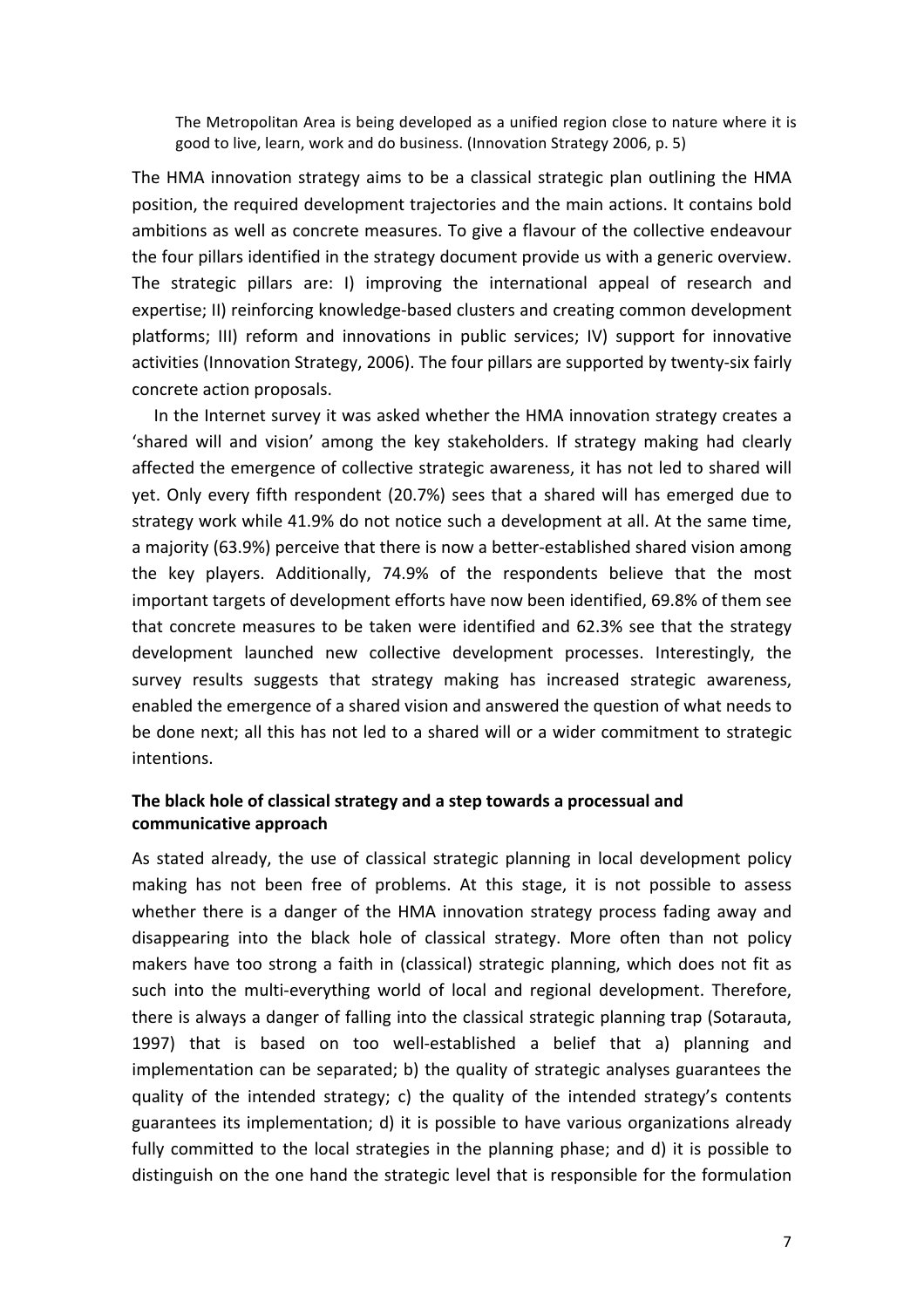The Metropolitan Area is being developed as a unified region close to nature where it is good to live, learn, work and do business. (Innovation Strategy 2006, p. 5)

The HMA innovation strategy aims to be a classical strategic plan outlining the HMA position, the required development trajectories and the main actions. It contains bold ambitions as well as concrete measures. To give a flavour of the collective endeavour the four pillars identified in the strategy document provide us with a generic overview. The strategic pillars are: I) improving the international appeal of research and expertise; II) reinforcing knowledge-based clusters and creating common development platforms; III) reform and innovations in public services; IV) support for innovative activities (Innovation Strategy, 2006). The four pillars are supported by twenty-six fairly concrete action proposals.

In the Internet survey it was asked whether the HMA innovation strategy creates a 'shared will and vision' among the key stakeholders. If strategy making had clearly affected the emergence of collective strategic awareness, it has not led to shared will yet. Only every fifth respondent (20.7%) sees that a shared will has emerged due to strategy work while 41.9% do not notice such a development at all. At the same time, a majority (63.9%) perceive that there is now a better-established shared vision among the key players. Additionally, 74.9% of the respondents believe that the most important targets of development efforts have now been identified, 69.8% of them see that concrete measures to be taken were identified and 62.3% see that the strategy development launched new collective development processes. Interestingly, the survey results suggests that strategy making has increased strategic awareness, enabled the emergence of a shared vision and answered the question of what needs to be done next; all this has not led to a shared will or a wider commitment to strategic intentions. 

# The black hole of classical strategy and a step towards a processual and **communicative approach**

As stated already, the use of classical strategic planning in local development policy making has not been free of problems. At this stage, it is not possible to assess whether there is a danger of the HMA innovation strategy process fading away and disappearing into the black hole of classical strategy. More often than not policy makers have too strong a faith in (classical) strategic planning, which does not fit as such into the multi-everything world of local and regional development. Therefore, there is always a danger of falling into the classical strategic planning trap (Sotarauta, 1997) that is based on too well-established a belief that a) planning and implementation can be separated; b) the quality of strategic analyses guarantees the quality of the intended strategy; c) the quality of the intended strategy's contents guarantees its implementation;  $d$ ) it is possible to have various organizations already fully committed to the local strategies in the planning phase; and d) it is possible to distinguish on the one hand the strategic level that is responsible for the formulation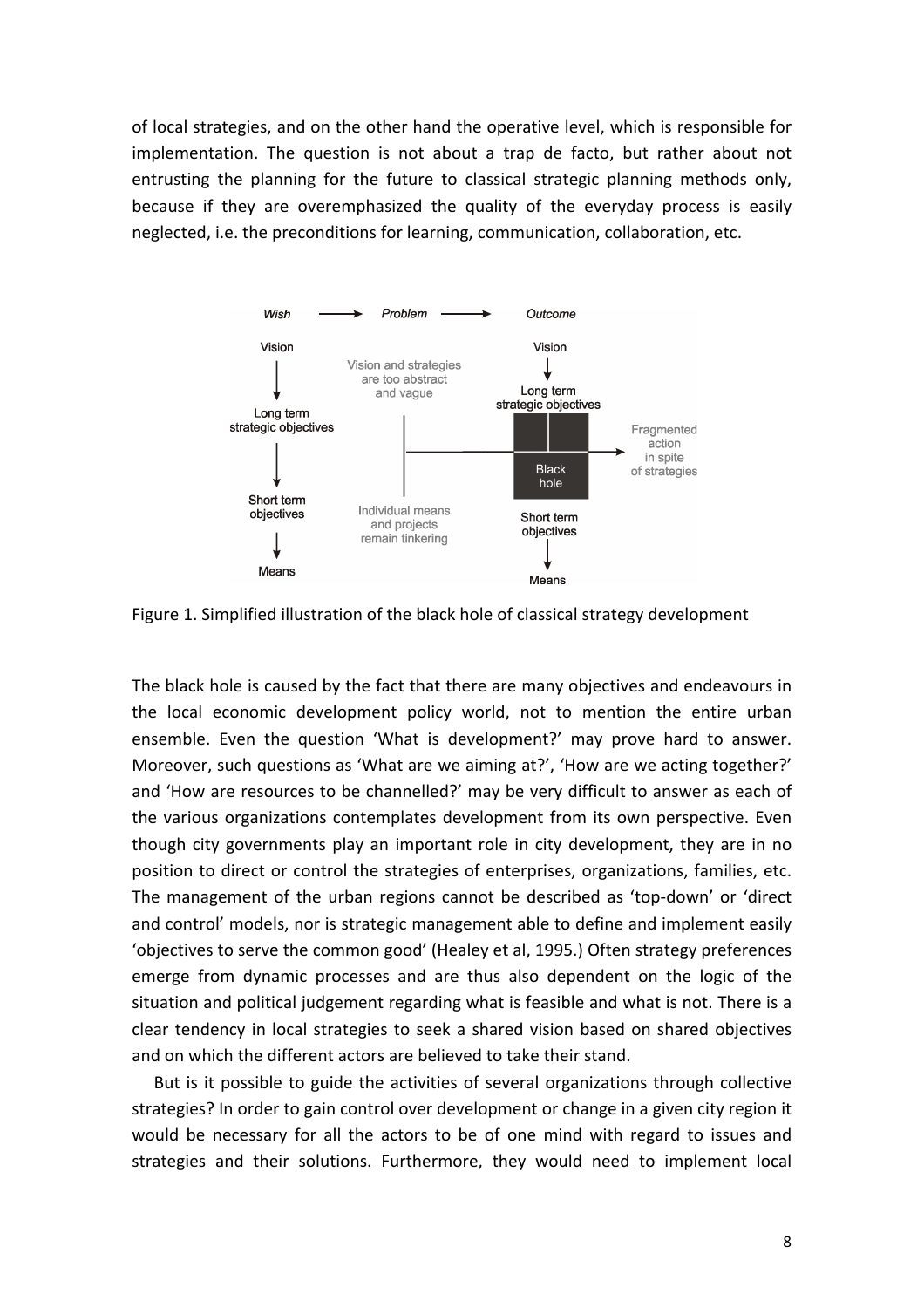of local strategies, and on the other hand the operative level, which is responsible for implementation. The question is not about a trap de facto, but rather about not entrusting the planning for the future to classical strategic planning methods only. because if they are overemphasized the quality of the everyday process is easily neglected, i.e. the preconditions for learning, communication, collaboration, etc.



Figure 1. Simplified illustration of the black hole of classical strategy development

The black hole is caused by the fact that there are many objectives and endeavours in the local economic development policy world, not to mention the entire urban ensemble. Even the question 'What is development?' may prove hard to answer. Moreover, such questions as 'What are we aiming at?', 'How are we acting together?' and 'How are resources to be channelled?' may be very difficult to answer as each of the various organizations contemplates development from its own perspective. Even though city governments play an important role in city development, they are in no position to direct or control the strategies of enterprises, organizations, families, etc. The management of the urban regions cannot be described as 'top-down' or 'direct and control' models, nor is strategic management able to define and implement easily 'objectives to serve the common good' (Healey et al, 1995.) Often strategy preferences emerge from dynamic processes and are thus also dependent on the logic of the situation and political judgement regarding what is feasible and what is not. There is a clear tendency in local strategies to seek a shared vision based on shared objectives and on which the different actors are believed to take their stand.

But is it possible to guide the activities of several organizations through collective strategies? In order to gain control over development or change in a given city region it would be necessary for all the actors to be of one mind with regard to issues and strategies and their solutions. Furthermore, they would need to implement local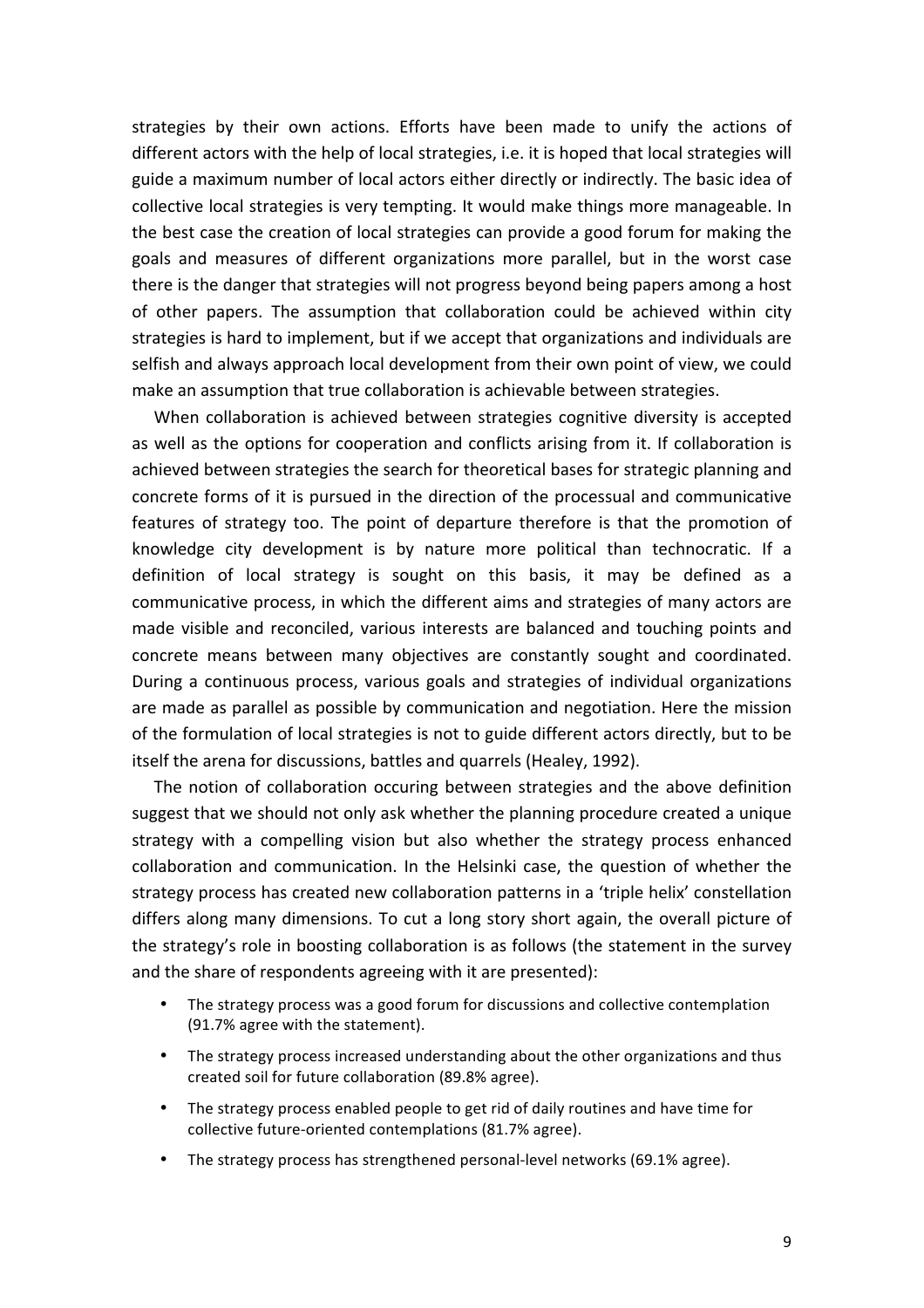strategies by their own actions. Efforts have been made to unify the actions of different actors with the help of local strategies, i.e. it is hoped that local strategies will guide a maximum number of local actors either directly or indirectly. The basic idea of collective local strategies is very tempting. It would make things more manageable. In the best case the creation of local strategies can provide a good forum for making the goals and measures of different organizations more parallel, but in the worst case there is the danger that strategies will not progress beyond being papers among a host of other papers. The assumption that collaboration could be achieved within city strategies is hard to implement, but if we accept that organizations and individuals are selfish and always approach local development from their own point of view, we could make an assumption that true collaboration is achievable between strategies.

When collaboration is achieved between strategies cognitive diversity is accepted as well as the options for cooperation and conflicts arising from it. If collaboration is achieved between strategies the search for theoretical bases for strategic planning and concrete forms of it is pursued in the direction of the processual and communicative features of strategy too. The point of departure therefore is that the promotion of knowledge city development is by nature more political than technocratic. If a definition of local strategy is sought on this basis, it may be defined as a communicative process, in which the different aims and strategies of many actors are made visible and reconciled, various interests are balanced and touching points and concrete means between many objectives are constantly sought and coordinated. During a continuous process, various goals and strategies of individual organizations are made as parallel as possible by communication and negotiation. Here the mission of the formulation of local strategies is not to guide different actors directly, but to be itself the arena for discussions, battles and quarrels (Healey, 1992).

The notion of collaboration occuring between strategies and the above definition suggest that we should not only ask whether the planning procedure created a unique strategy with a compelling vision but also whether the strategy process enhanced collaboration and communication. In the Helsinki case, the question of whether the strategy process has created new collaboration patterns in a 'triple helix' constellation differs along many dimensions. To cut a long story short again, the overall picture of the strategy's role in boosting collaboration is as follows (the statement in the survey and the share of respondents agreeing with it are presented):

- The strategy process was a good forum for discussions and collective contemplation (91.7% agree with the statement).
- The strategy process increased understanding about the other organizations and thus created soil for future collaboration (89.8% agree).
- The strategy process enabled people to get rid of daily routines and have time for collective future-oriented contemplations (81.7% agree).
- The strategy process has strengthened personal-level networks (69.1% agree).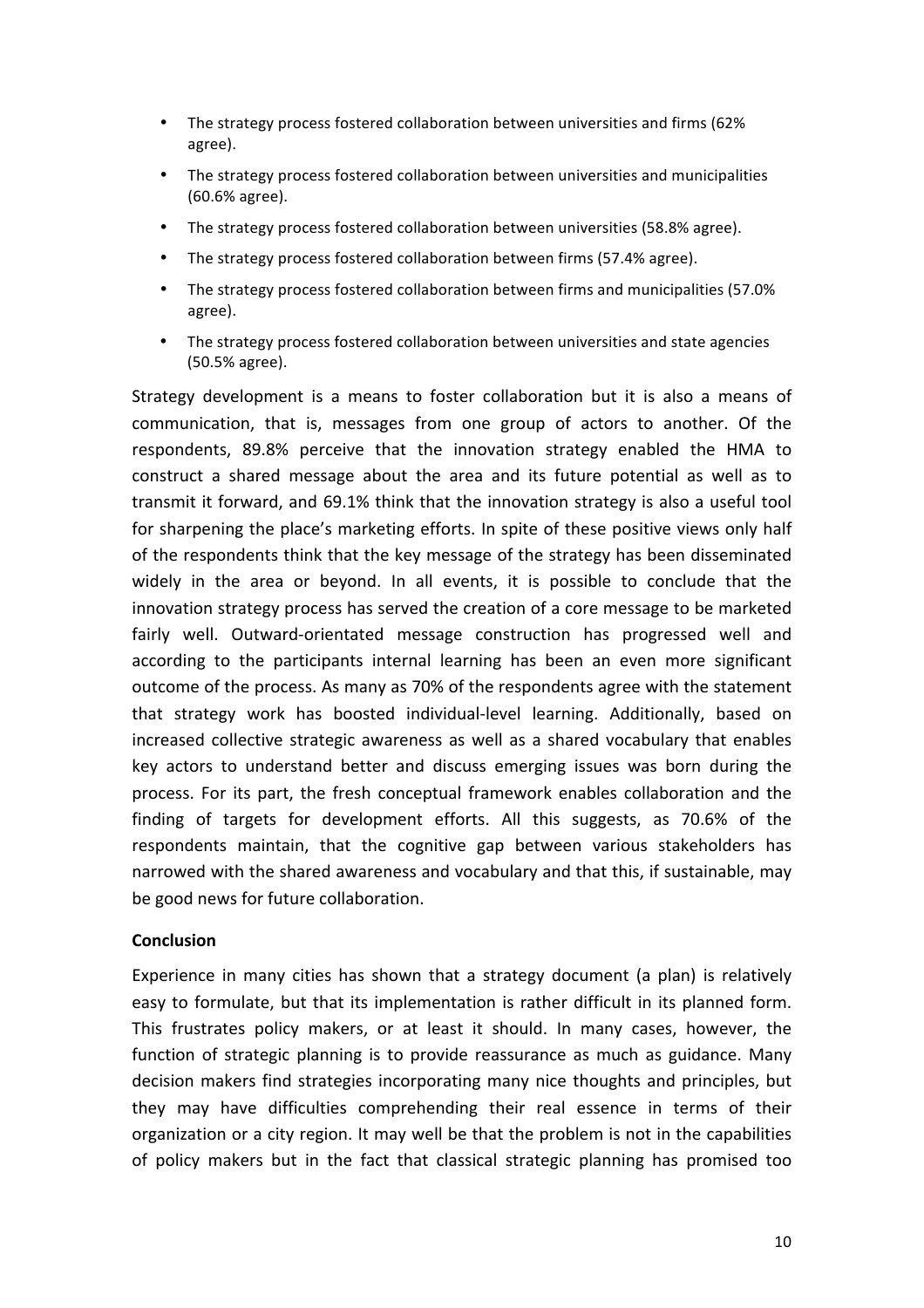- The strategy process fostered collaboration between universities and firms (62%) agree).
- The strategy process fostered collaboration between universities and municipalities (60.6% agree).
- The strategy process fostered collaboration between universities (58.8% agree).
- The strategy process fostered collaboration between firms (57.4% agree).
- The strategy process fostered collaboration between firms and municipalities (57.0%) agree).
- The strategy process fostered collaboration between universities and state agencies (50.5% agree).

Strategy development is a means to foster collaboration but it is also a means of communication, that is, messages from one group of actors to another. Of the respondents, 89.8% perceive that the innovation strategy enabled the HMA to construct a shared message about the area and its future potential as well as to transmit it forward, and 69.1% think that the innovation strategy is also a useful tool for sharpening the place's marketing efforts. In spite of these positive views only half of the respondents think that the key message of the strategy has been disseminated widely in the area or beyond. In all events, it is possible to conclude that the innovation strategy process has served the creation of a core message to be marketed fairly well. Outward-orientated message construction has progressed well and according to the participants internal learning has been an even more significant outcome of the process. As many as 70% of the respondents agree with the statement that strategy work has boosted individual-level learning. Additionally, based on increased collective strategic awareness as well as a shared vocabulary that enables key actors to understand better and discuss emerging issues was born during the process. For its part, the fresh conceptual framework enables collaboration and the finding of targets for development efforts. All this suggests, as 70.6% of the respondents maintain, that the cognitive gap between various stakeholders has narrowed with the shared awareness and vocabulary and that this, if sustainable, may be good news for future collaboration.

# **Conclusion**

Experience in many cities has shown that a strategy document (a plan) is relatively easy to formulate, but that its implementation is rather difficult in its planned form. This frustrates policy makers, or at least it should. In many cases, however, the function of strategic planning is to provide reassurance as much as guidance. Many decision makers find strategies incorporating many nice thoughts and principles, but they may have difficulties comprehending their real essence in terms of their organization or a city region. It may well be that the problem is not in the capabilities of policy makers but in the fact that classical strategic planning has promised too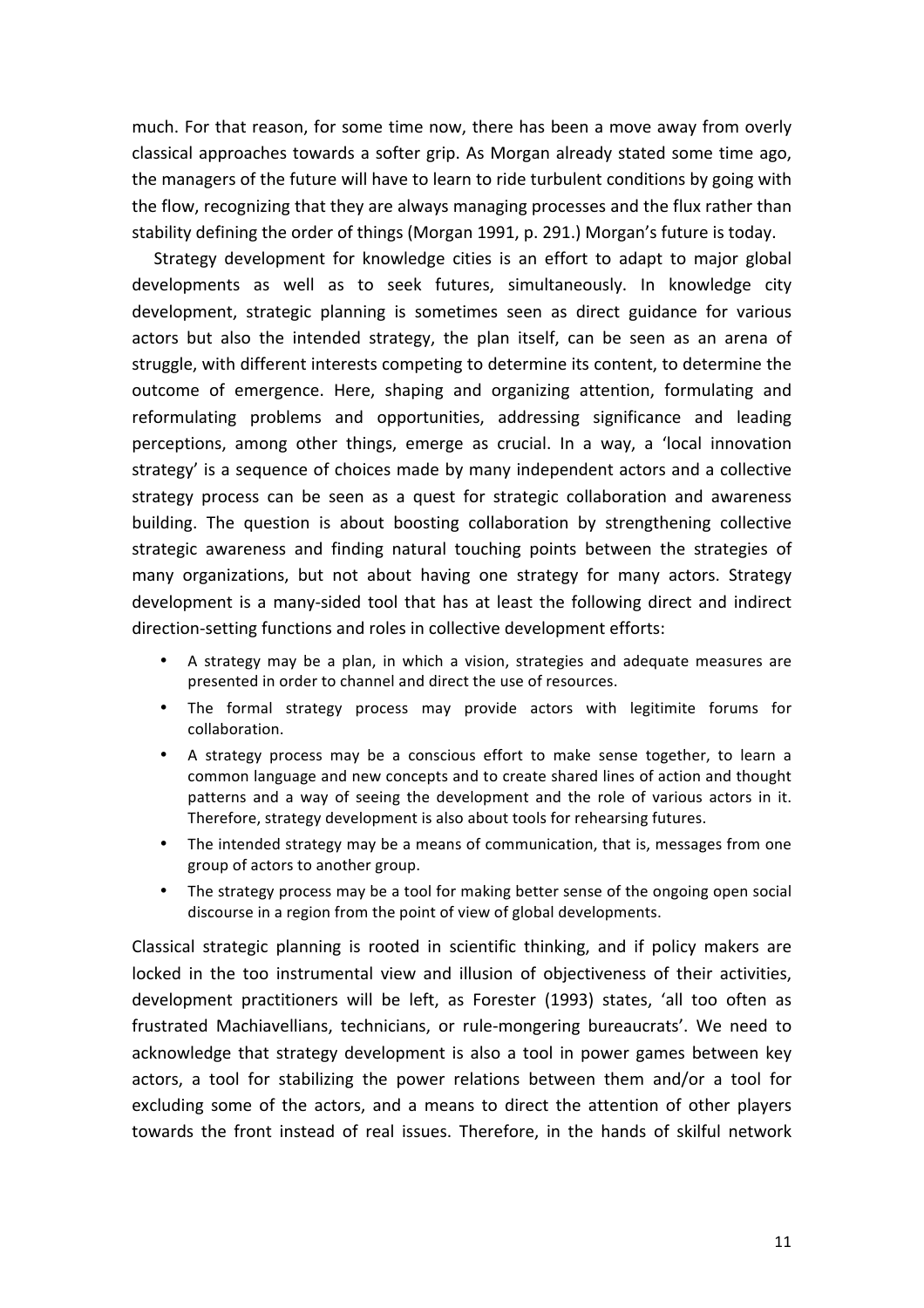much. For that reason, for some time now, there has been a move away from overly classical approaches towards a softer grip. As Morgan already stated some time ago, the managers of the future will have to learn to ride turbulent conditions by going with the flow, recognizing that they are always managing processes and the flux rather than stability defining the order of things (Morgan 1991, p. 291.) Morgan's future is today.

Strategy development for knowledge cities is an effort to adapt to major global developments as well as to seek futures, simultaneously. In knowledge city development, strategic planning is sometimes seen as direct guidance for various actors but also the intended strategy, the plan itself, can be seen as an arena of struggle, with different interests competing to determine its content, to determine the outcome of emergence. Here, shaping and organizing attention, formulating and reformulating problems and opportunities, addressing significance and leading perceptions, among other things, emerge as crucial. In a way, a 'local innovation strategy' is a sequence of choices made by many independent actors and a collective strategy process can be seen as a quest for strategic collaboration and awareness building. The question is about boosting collaboration by strengthening collective strategic awareness and finding natural touching points between the strategies of many organizations, but not about having one strategy for many actors. Strategy development is a many-sided tool that has at least the following direct and indirect direction-setting functions and roles in collective development efforts:

- A strategy may be a plan, in which a vision, strategies and adequate measures are presented in order to channel and direct the use of resources.
- The formal strategy process may provide actors with legitimite forums for collaboration.
- A strategy process may be a conscious effort to make sense together, to learn a common language and new concepts and to create shared lines of action and thought patterns and a way of seeing the development and the role of various actors in it. Therefore, strategy development is also about tools for rehearsing futures.
- The intended strategy may be a means of communication, that is, messages from one group of actors to another group.
- The strategy process may be a tool for making better sense of the ongoing open social discourse in a region from the point of view of global developments.

Classical strategic planning is rooted in scientific thinking, and if policy makers are locked in the too instrumental view and illusion of objectiveness of their activities, development practitioners will be left, as Forester (1993) states, 'all too often as frustrated Machiavellians, technicians, or rule-mongering bureaucrats'. We need to acknowledge that strategy development is also a tool in power games between key actors, a tool for stabilizing the power relations between them and/or a tool for excluding some of the actors, and a means to direct the attention of other players towards the front instead of real issues. Therefore, in the hands of skilful network